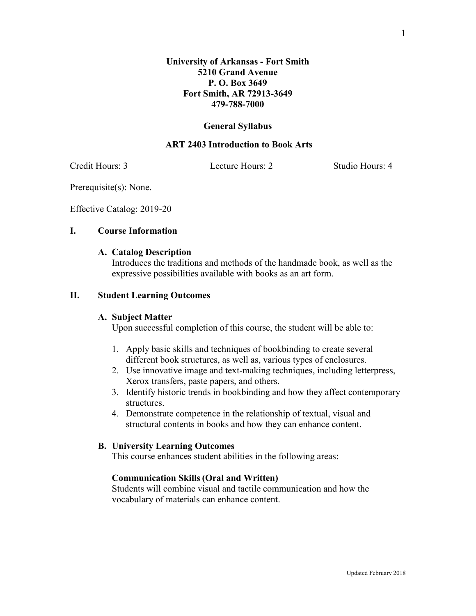#### **General Syllabus**

#### **ART 2403 Introduction to Book Arts**

Credit Hours: 3 Lecture Hours: 2 Studio Hours: 4

Prerequisite(s): None.

Effective Catalog: 2019-20

### **I. Course Information**

#### **A. Catalog Description**

Introduces the traditions and methods of the handmade book, as well as the expressive possibilities available with books as an art form.

### **II. Student Learning Outcomes**

#### **A. Subject Matter**

Upon successful completion of this course, the student will be able to:

- 1. Apply basic skills and techniques of bookbinding to create several different book structures, as well as, various types of enclosures.
- 2. Use innovative image and text-making techniques, including letterpress, Xerox transfers, paste papers, and others.
- 3. Identify historic trends in bookbinding and how they affect contemporary structures.
- 4. Demonstrate competence in the relationship of textual, visual and structural contents in books and how they can enhance content.

#### **B. University Learning Outcomes**

This course enhances student abilities in the following areas:

#### **Communication Skills(Oral and Written)**

Students will combine visual and tactile communication and how the vocabulary of materials can enhance content.